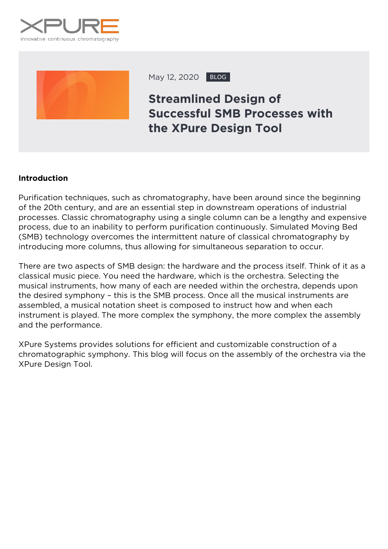



May 12, 2020 BLOG

# **Streamlined Design of Successful SMB Processes with the XPure Design Tool**

#### **Introduction**

Purification techniques, such as chromatography, have been around since the beginning of the 20th century, and are an essential step in downstream operations of industrial processes. Classic chromatography using a single column can be a lengthy and expensive process, due to an inability to perform purification continuously. Simulated Moving Bed (SMB) technology overcomes the intermittent nature of classical chromatography by introducing more columns, thus allowing for simultaneous separation to occur.

There are two aspects of SMB design: the hardware and the process itself. Think of it as a classical music piece. You need the hardware, which is the orchestra. Selecting the musical instruments, how many of each are needed within the orchestra, depends upon the desired symphony – this is the SMB process. Once all the musical instruments are assembled, a musical notation sheet is composed to instruct how and when each instrument is played. The more complex the symphony, the more complex the assembly and the performance.

XPure Systems provides solutions for efficient and customizable construction of a chromatographic symphony. This blog will focus on the assembly of the orchestra via the XPure Design Tool.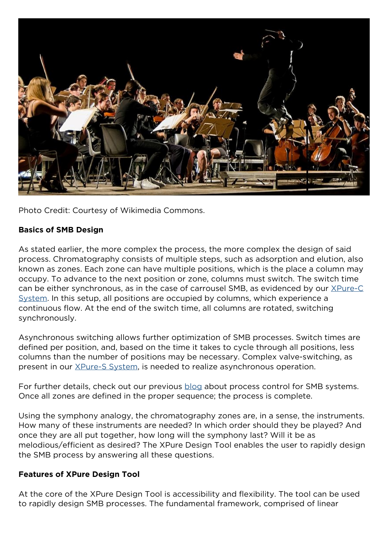

*Photo Credit: Courtesy of Wikimedia Commons.*

### **Basics of SMB Design**

As stated earlier, the more complex the process, the more complex the design of said process. Chromatography consists of multiple steps, such as adsorption and elution, also known as zones. Each zone can have multiple positions, which is the place a column may occupy. To advance to the next position or zone, columns must switch. The switch time can be either synchronous, as in the case of carrousel SMB, as evidenced by our [XPure-C](https://xpure-systems.com/product-services/xpure-c/) [System](https://xpure-systems.com/product-services/xpure-c/). In this setup, all positions are occupied by columns, which experience a continuous flow. At the end of the switch time, all columns are rotated, switching synchronously.

Asynchronous switching allows further optimization of SMB processes. Switch times are defined per position, and, based on the time it takes to cycle through all positions, less columns than the number of positions may be necessary. Complex valve-switching, as present in our [XPure-S System](https://xpure-systems.com/product-services/xpure-s/), is needed to realize asynchronous operation.

For further details, check out our previous [blog](https://xpure-systems.com/5-levels-of-process-control-for-smb-systems/) about process control for SMB systems. Once all zones are defined in the proper sequence; the process is complete.

Using the symphony analogy, the chromatography zones are, in a sense, the instruments. How many of these instruments are needed? In which order should they be played? And once they are all put together, how long will the symphony last? Will it be as melodious/efficient as desired? The XPure Design Tool enables the user to rapidly design the SMB process by answering all these questions.

#### **Features of XPure Design Tool**

At the core of the XPure Design Tool is accessibility and flexibility. The tool can be used to rapidly design SMB processes. The fundamental framework, comprised of linear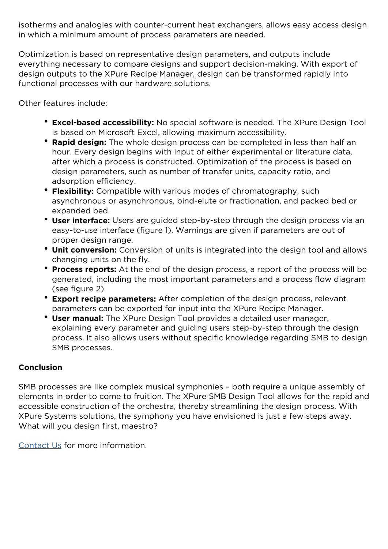isotherms and analogies with counter-current heat exchangers, allows easy access design in which a minimum amount of process parameters are needed.

Optimization is based on representative design parameters, and outputs include everything necessary to compare designs and support decision-making. With export of design outputs to the XPure Recipe Manager, design can be transformed rapidly into functional processes with our hardware solutions.

Other features include:

- **Excel-based accessibility:** No special software is needed. The XPure Design Tool is based on Microsoft Excel, allowing maximum accessibility.
- **Rapid design:** The whole design process can be completed in less than half an hour. Every design begins with input of either experimental or literature data, after which a process is constructed. Optimization of the process is based on design parameters, such as number of transfer units, capacity ratio, and adsorption efficiency.
- **Flexibility:** Compatible with various modes of chromatography, such asynchronous or asynchronous, bind-elute or fractionation, and packed bed or expanded bed.
- **User interface:** Users are guided step-by-step through the design process via an easy-to-use interface (figure 1). Warnings are given if parameters are out of proper design range.
- **Unit conversion:** Conversion of units is integrated into the design tool and allows changing units on the fly.
- **Process reports:** At the end of the design process, a report of the process will be generated, including the most important parameters and a process flow diagram (see figure 2).
- **Export recipe parameters:** After completion of the design process, relevant parameters can be exported for input into the XPure Recipe Manager.
- **User manual:** The XPure Design Tool provides a detailed user manager, explaining every parameter and guiding users step-by-step through the design process. It also allows users without specific knowledge regarding SMB to design SMB processes.

## **Conclusion**

SMB processes are like complex musical symphonies – both require a unique assembly of elements in order to come to fruition. The XPure SMB Design Tool allows for the rapid and accessible construction of the orchestra, thereby streamlining the design process. With XPure Systems solutions, the symphony you have envisioned is just a few steps away. What will you design first, maestro?

[Contact Us](https://xpure-systems.com/contact-us/) for more information.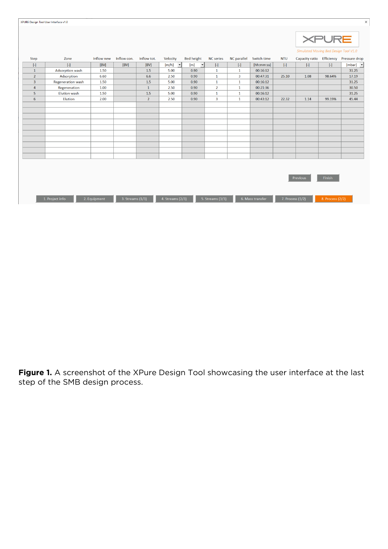| $\times$<br>XPURE Design Tool User Interface v1.0 |                |                          |              |                  |                |                              |                     |                         |                    |                  |             |                                       |                  |                                         |
|---------------------------------------------------|----------------|--------------------------|--------------|------------------|----------------|------------------------------|---------------------|-------------------------|--------------------|------------------|-------------|---------------------------------------|------------------|-----------------------------------------|
|                                                   |                |                          |              |                  |                |                              |                     |                         |                    |                  |             |                                       | <b>XPURE</b>     |                                         |
|                                                   |                |                          |              |                  |                |                              |                     |                         |                    |                  |             | Simulated Moving Bed Design Tool V1.0 |                  |                                         |
|                                                   | Step           | Zone                     | Inflow new   | Inflow con.      | Inflow tot.    | Velocity                     | <b>Bed height</b>   | <b>NC</b> series        | <b>NC</b> parallel | Switch time      | <b>NTU</b>  |                                       |                  | Capacity ratio Efficiency Pressure drop |
|                                                   | $[ - ]$        | $[\cdot]$                | [BV]         | [BV]             | [BV]           | [m/h]<br>$\vert \cdot \vert$ | [m]<br>$\mathbf{r}$ | $[\![ \cdot ]\!]$       | $[ - ]$            | [hh:mm:ss]       | $[ \cdot ]$ | $[ - ]$                               | $[ - ]$          | [mbar] $\blacktriangledown$             |
|                                                   | $\mathbf{1}$   | <b>Adsorption wash</b>   | 1.50         |                  | 1.5            | 5.00                         | 0.90                | 1                       | 1                  | 00:16:12         |             |                                       |                  | 31.25                                   |
|                                                   | $\overline{2}$ | Adsorption               | 6.60         |                  | 6.6            | 2.50                         | 0.90                | $\mathbf{1}$            | $\overline{3}$     | 00:47:31         | 25.10       | 1.08                                  | 98.64%           | 17.19                                   |
|                                                   | $\overline{3}$ | <b>Regeneration wash</b> | 1.50         |                  | 1.5            | 5.00                         | 0.90                | $\mathbf{1}$            | $\mathbf{1}$       | 00:16:12         |             |                                       |                  | 31.25                                   |
|                                                   | $\overline{4}$ | Regeneration             | 1.00         |                  | $\mathbf{1}$   | 2.50                         | 0.90                | $\overline{2}$          | $\mathbf{1}$       | 00:21:36         |             |                                       |                  | 30.50                                   |
|                                                   | 5              | <b>Elution wash</b>      | 1.50         |                  | 1.5            | 5.00                         | 0.90                | 1                       | $\mathbf{1}$       | 00:16:12         |             |                                       |                  | 31.25                                   |
|                                                   | 6              | <b>Elution</b>           | 2.00         |                  | $\overline{2}$ | 2.50                         | 0.90                | $\overline{\mathbf{3}}$ | $\mathbf{1}$       | 00:43:12         | 22.32       | 1.14                                  | 99.19%           | 45.44                                   |
|                                                   |                |                          |              |                  |                |                              |                     |                         |                    |                  |             |                                       |                  |                                         |
|                                                   |                |                          |              |                  |                |                              |                     |                         |                    |                  |             |                                       |                  |                                         |
|                                                   |                |                          |              |                  |                |                              |                     |                         |                    |                  |             |                                       |                  |                                         |
|                                                   |                |                          |              |                  |                |                              |                     |                         |                    |                  |             |                                       |                  |                                         |
|                                                   |                |                          |              |                  |                |                              |                     |                         |                    |                  |             |                                       |                  |                                         |
|                                                   |                |                          |              |                  |                |                              |                     |                         |                    |                  |             |                                       |                  |                                         |
|                                                   |                |                          |              |                  |                |                              |                     |                         |                    |                  |             |                                       |                  |                                         |
|                                                   |                |                          |              |                  |                |                              |                     |                         |                    |                  |             |                                       |                  |                                         |
|                                                   |                |                          |              |                  |                |                              |                     |                         |                    |                  |             |                                       |                  |                                         |
|                                                   |                |                          |              |                  |                |                              |                     |                         |                    |                  |             |                                       |                  |                                         |
|                                                   |                |                          |              |                  |                |                              |                     |                         |                    |                  |             |                                       |                  |                                         |
|                                                   |                |                          |              |                  |                |                              |                     |                         |                    |                  |             |                                       |                  |                                         |
|                                                   |                |                          |              |                  |                |                              |                     |                         |                    |                  |             | Previous                              | <b>Finish</b>    |                                         |
|                                                   |                |                          |              |                  |                |                              |                     |                         |                    |                  |             |                                       |                  |                                         |
|                                                   |                |                          |              |                  |                |                              |                     |                         |                    |                  |             |                                       |                  |                                         |
|                                                   |                |                          |              |                  |                |                              |                     |                         |                    |                  |             |                                       |                  |                                         |
|                                                   |                | 1. Project info          | 2. Equipment | 3. Streams (1/3) |                | 4. Streams (2/3)             |                     | 5. Streams (3/3)        |                    | 6. Mass transfer |             | 7. Process (1/2)                      | 8. Process (2/2) |                                         |
|                                                   |                |                          |              |                  |                |                              |                     |                         |                    |                  |             |                                       |                  |                                         |

**Figure 1.** A screenshot of the XPure Design Tool showcasing the user interface at the last step of the SMB design process.